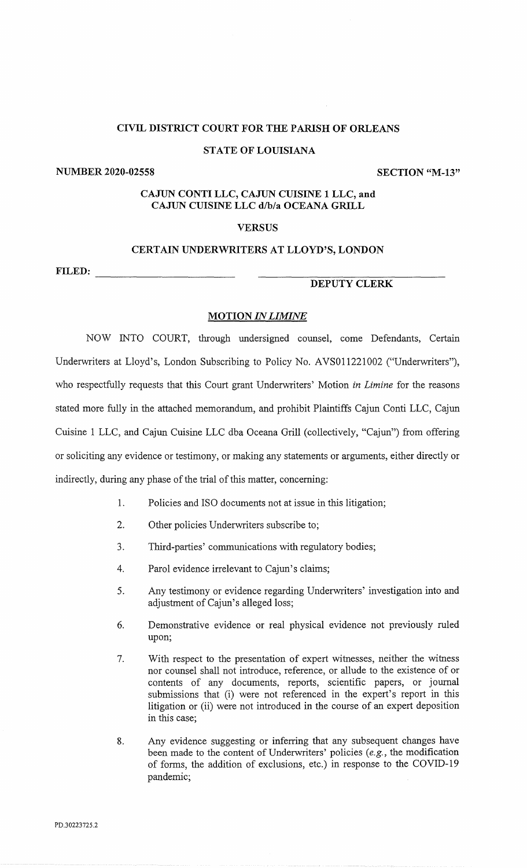### STATE OF LOUISIANA

NUMBER 2020-02558 SECTION "M-13"

# CAJUN CONTI LLC, CAJUN CUISINE 1 LLC, and CAJUN CUISINE LLC d/b/a OCEANA GRILL

# **VERSUS**

# CERTAIN UNDERWRITERS AT LLOYD'S, LONDON

FILED:

## DEPUTY CLERK

## **MOTION IN LIMINE**

NOW INTO COURT, through undersigned counsel, come Defendants, Certain Underwriters at Lloyd's, London Subscribing to Policy No. AVS011221002 ("Underwriters"), who respectfully requests that this Court grant Underwriters' Motion in Limine for the reasons stated more fully in the attached memorandum, and prohibit Plaintiffs Cajun Conti LLC, Cajun Cuisine 1 LLC, and Cajun Cuisine LLC dba Oceana Grill (collectively, "Cajun") from offering or soliciting any evidence or testimony, or making any statements or arguments, either directly or indirectly, during any phase of the trial of this matter, concerning:

- 1. Policies and ISO documents not at issue in this litigation;
- 2. Other policies Underwriters subscribe to;
- 3. Third-parties' communications with regulatory bodies;
- 4. Parol evidence irrelevant to Cajun's claims;
- 5. Any testimony or evidence regarding Underwriters' investigation into and adjustment of Cajun's alleged loss;
- 6. Demonstrative evidence or real physical evidence not previously ruled upon;
- 7. With respect to the presentation of expert witnesses, neither the witness nor counsel shall not introduce, reference, or allude to the existence of or contents of any documents, reports, scientific papers, or journal submissions that (i) were not referenced in the expert's report in this litigation or (ii) were not introduced in the course of an expert deposition in this case;
- 8. Any evidence suggesting or inferring that any subsequent changes have been made to the content of Underwriters' policies (e.g., the modification of forms, the addition of exclusions, etc.) in response to the COVID-19 pandemic;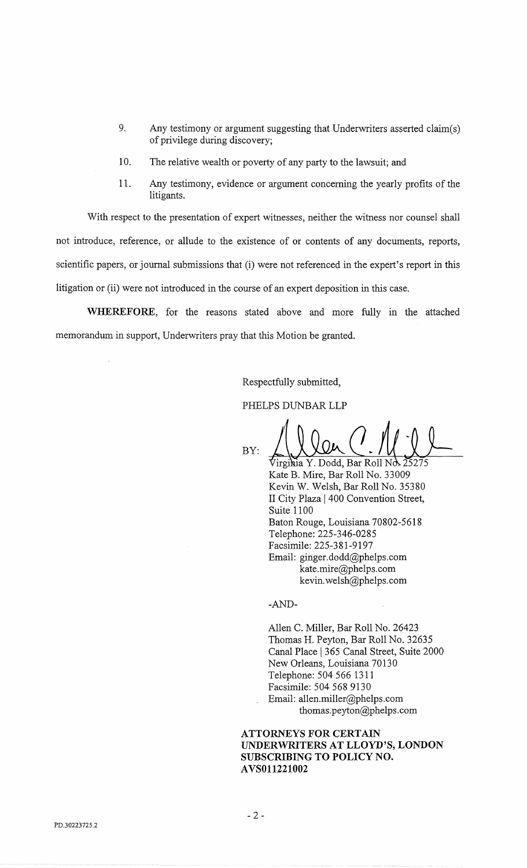- 9. Any testimony or argument suggesting that Underwriters asserted claim(s) of privilege during discovery;
- 10. The relative wealth or poverty of any party to the lawsuit; and
- 11. Any testimony, evidence or argument concerning the yearly profits of the litigants.

With respect to the presentation of expert witnesses, neither the witness nor counsel shall not introduce, reference, or allude to the existence of or contents of any documents, reports, scientific papers, or journal submissions that (i) were not referenced in the expert's report in this litigation or (ii) were not introduced in the course of an expert deposition in this case.

WHEREFORE, for the reasons stated above and more fully in the attached memorandum in support, Underwriters pray that this Motion be granted.

Respectfully submitted,

PHELPS DUNBAR LLP

BY:

Virginia Y. Dodd, Bar Roll Nd Kate B. Mire, Bar Roll No. 33009 Kevin W. Welsh, Bar Roll No. 35380 II City Plaza | 400 Convention Street, Suite 1100 Baton Rouge, Louisiana 70802-5618 Telephone: 225-346-0285 Facsimile: 225-381-9197 Email: ginger.dodd@phelps.com kate.mire@phelps.com kevin.welsh@phelps.com

-AND-

Allen C. Miller, Bar Roll No. 26423 Thomas H. Peyton, Bar Roll No. 32635 Canal Place 1 365 Canal Street, Suite 2000 New Orleans, Louisiana 70130 Telephone: 504 566 1311 Facsimile: 504 568 9130 Email: allen.miller@phelps.com thomas.peyton@phelps.com

ATTORNEYS FOR CERTAIN UNDERWRITERS AT LLOYD'S, LONDON SUBSCRIBING TO POLICY NO. AVS011221002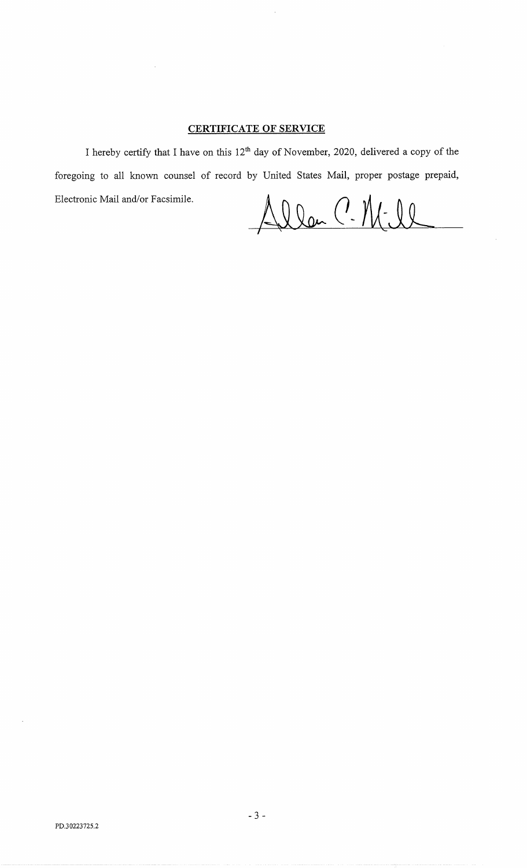# CERTIFICATE OF SERVICE

I hereby certify that I have on this 12<sup>th</sup> day of November, 2020, delivered a copy of the foregoing to all known counsel of record by United States Mail, proper postage prepaid, Electronic Mail and/or Facsimile.

Allan C. M. Il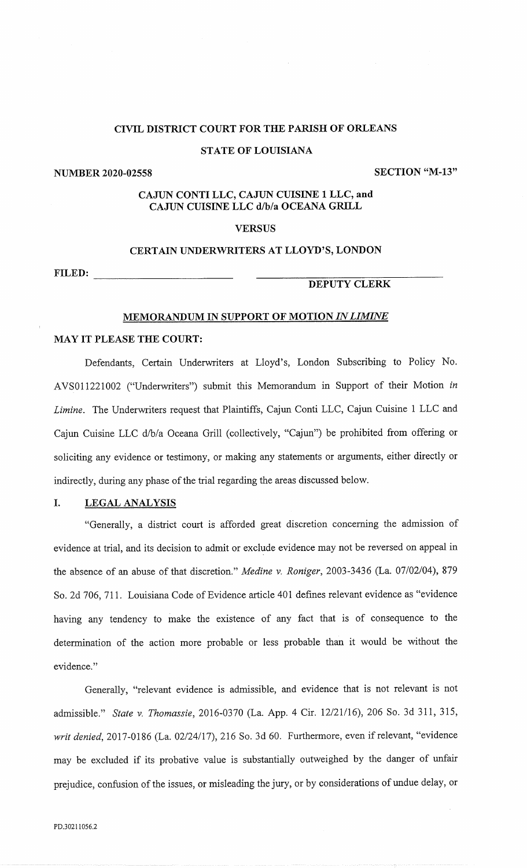### STATE OF LOUISIANA

## NUMBER 2020-02558 SECTION "M-13"

# CAJUN CONTI LLC, CAJUN CUISINE 1 LLC, and CAJUN CUISINE LLC d/b/a OCEANA GRILL

### **VERSUS**

## CERTAIN UNDERWRITERS AT LLOYD'S, LONDON

FILED:

### DEPUTY CLERK

### MEMORANDUM IN SUPPORT OF MOTION IN LIMINE

### MAY IT PLEASE THE COURT:

Defendants, Certain Underwriters at Lloyd's, London Subscribing to Policy No. AVS011221002 ("Underwriters") submit this Memorandum in Support of their Motion in Limine. The Underwriters request that Plaintiffs, Cajun Conti LLC, Cajun Cuisine 1 LLC and Cajun Cuisine LLC d/b/a Oceana Grill (collectively, "Cajun") be prohibited from offering or soliciting any evidence or testimony, or making any statements or arguments, either directly or indirectly, during any phase of the trial regarding the areas discussed below.

### I. LEGAL ANALYSIS

"Generally, a district court is afforded great discretion concerning the admission of evidence at trial, and its decision to admit or exclude evidence may not be reversed on appeal in the absence of an abuse of that discretion." Medine v. Roniger, 2003-3436 (La. 07/02/04), 879 So. 2d 706, 711. Louisiana Code of Evidence article 401 defines relevant evidence as "evidence having any tendency to make the existence of any fact that is of consequence to the determination of the action more probable or less probable than it would be without the evidence."

Generally, "relevant evidence is admissible, and evidence that is not relevant is not admissible." State v. Thomassie, 2016-0370 (La. App. 4 Cir. 12/21/16), 206 So. 3d 311, 315, writ denied, 2017-0186 (La. 02/24/17), 216 So. 3d 60. Furthermore, even if relevant, "evidence may be excluded if its probative value is substantially outweighed by the danger of unfair prejudice, confusion of the issues, or misleading the jury, or by considerations of undue delay, or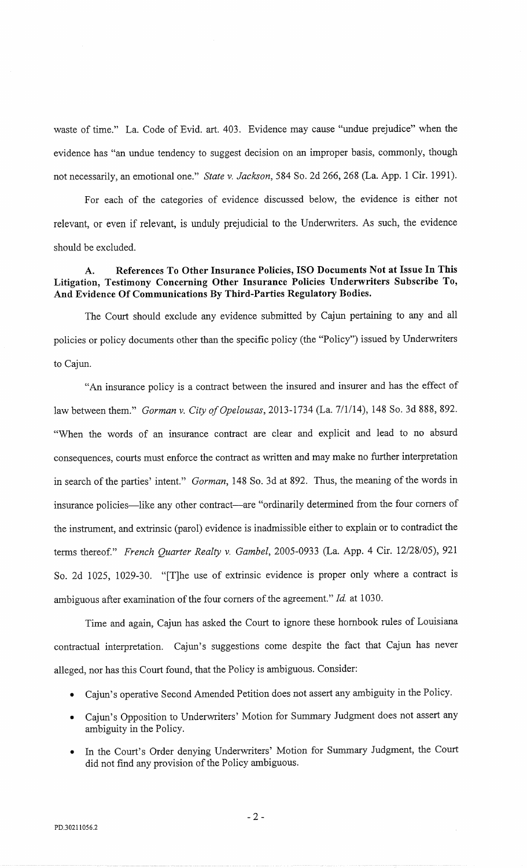waste of time." La. Code of Evid. art. 403. Evidence may cause "undue prejudice" when the evidence has "an undue tendency to suggest decision on an improper basis, commonly, though not necessarily, an emotional one." State v. Jackson, 584 So. 2d 266, 268 (La. App. 1 Cir. 1991).

For each of the categories of evidence discussed below, the evidence is either not relevant, or even if relevant, is unduly prejudicial to the Underwriters. As such, the evidence should be excluded.

# A. References To Other Insurance Policies, ISO Documents Not at Issue In This Litigation, Testimony Concerning Other Insurance Policies Underwriters Subscribe To, And Evidence Of Communications By Third-Parties Regulatory Bodies.

The Court should exclude any evidence submitted by Cajun pertaining to any and all policies or policy documents other than the specific policy (the "Policy") issued by Underwriters to Cajun.

"An insurance policy is a contract between the insured and insurer and has the effect of law between them." Gorman v. City of Opelousas, 2013-1734 (La. 7/1/14), 148 So. 3d 888, 892. "When the words of an insurance contract are clear and explicit and lead to no absurd consequences, courts must enforce the contract as written and may make no further interpretation in search of the parties' intent." Gorman, 148 So. 3d at 892. Thus, the meaning of the words in insurance policies—like any other contract—are "ordinarily determined from the four corners of the instrument, and extrinsic (parol) evidence is inadmissible either to explain or to contradict the terms thereof." French Quarter Realty v. Gambel, 2005-0933 (La. App. 4 Cir. 12/28/05), 921 So. 2d 1025, 1029-30. "[T]he use of extrinsic evidence is proper only where a contract is ambiguous after examination of the four corners of the agreement." Id. at 1030.

Time and again, Cajun has asked the Court to ignore these hornbook rules of Louisiana contractual interpretation. Cajun's suggestions come despite the fact that Cajun has never alleged, nor has this Court found, that the Policy is ambiguous. Consider:

- Cajun's operative Second Amended Petition does not assert any ambiguity in the Policy.
- Cajun's Opposition to Underwriters' Motion for Summary Judgment does not assert any ambiguity in the Policy.
- In the Court's Order denying Underwriters' Motion for Summary Judgment, the Court did not find any provision of the Policy ambiguous.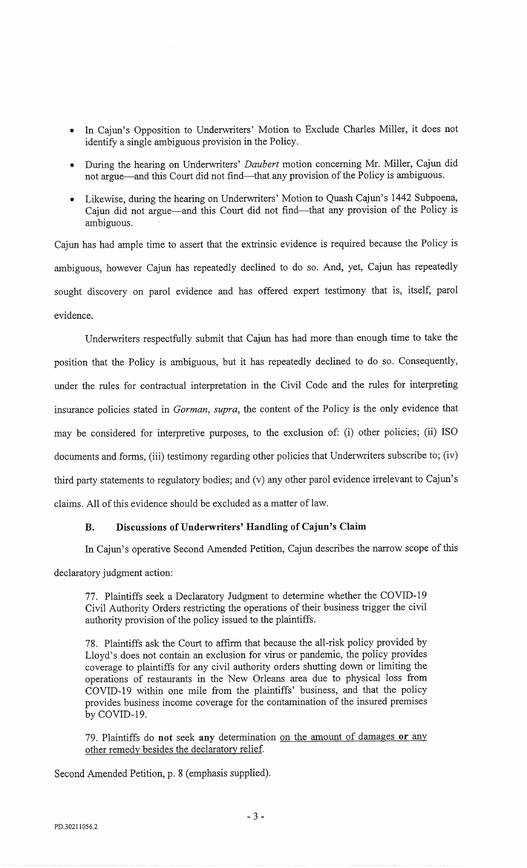- In Cajun's Opposition to Underwriters' Motion to Exclude Charles Miller, it does not identify a single ambiguous provision in the Policy.
- During the hearing on Underwriters' Daubert motion concerning Mr. Miller, Cajun did not argue—and this Court did not find—that any provision of the Policy is ambiguous.
- Likewise, during the hearing on Underwriters' Motion to Quash Cajun's 1442 Subpoena, Cajun did not argue—and this Court did not find—that any provision of the Policy is ambiguous.

Cajun has had ample time to assert that the extrinsic evidence is required because the Policy is ambiguous, however Cajun has repeatedly declined to do so. And, yet, Cajun has repeatedly sought discovery on parol evidence and has offered expert testimony that is, itself, parol evidence.

Underwriters respectfully submit that Cajun has had more than enough time to take the position that the Policy is ambiguous, but it has repeatedly declined to do so. Consequently, under the rules for contractual interpretation in the Civil Code and the rules for interpreting insurance policies stated in Gorman, supra, the content of the Policy is the only evidence that may be considered for interpretive purposes, to the exclusion of: (i) other policies; (ii) ISO documents and forms, (iii) testimony regarding other policies that Underwriters subscribe to; (iv) third party statements to regulatory bodies; and (v) any other parol evidence irrelevant to Cajun's claims. All of this evidence should be excluded as a matter of law.

# B. Discussions of Underwriters' Handling of Cajun's Claim

In Cajun's operative Second Amended Petition, Cajun describes the narrow scope of this

declaratory judgment action:

77. Plaintiffs seek a Declaratory Judgment to determine whether the COVID-19 Civil Authority Orders restricting the operations of their business trigger the civil authority provision of the policy issued to the plaintiffs.

78. Plaintiffs ask the Court to affirm that because the all-risk policy provided by Lloyd's does not contain an exclusion for virus or pandemic, the policy provides coverage to plaintiffs for any civil authority orders shutting down or limiting the operations of restaurants in the New Orleans area due to physical loss from COVID-19 within one mile from the plaintiffs' business, and that the policy provides business income coverage for the contamination of the insured premises by COVID-19.

79. Plaintiffs do not seek any determination on the amount of damages or any other remedy besides the declaratory relief.

Second Amended Petition, p. 8 (emphasis supplied).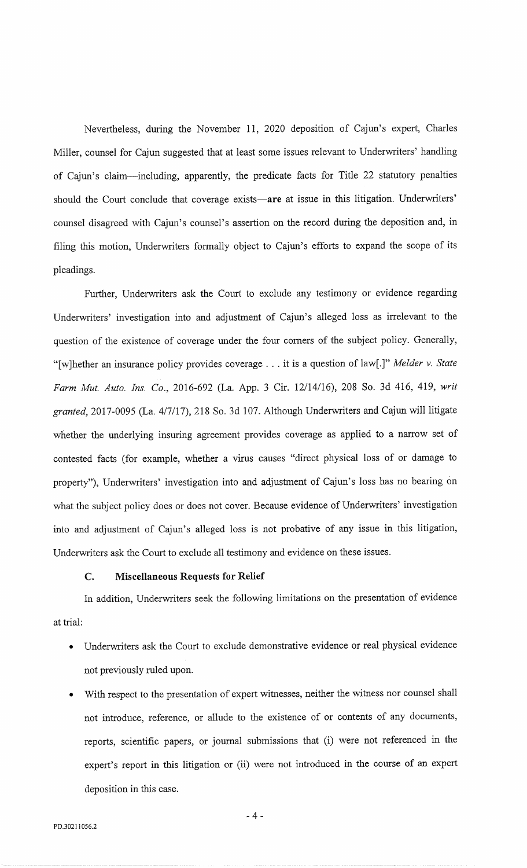Nevertheless, during the November 11, 2020 deposition of Cajun's expert, Charles Miller, counsel for Cajun suggested that at least some issues relevant to Underwriters' handling of Cajun's claim—including, apparently, the predicate facts for Title 22 statutory penalties should the Court conclude that coverage exists—are at issue in this litigation. Underwriters' counsel disagreed with Cajun's counsel's assertion on the record during the deposition and, in filing this motion, Underwriters formally object to Cajun's efforts to expand the scope of its pleadings.

Further, Underwriters ask the Court to exclude any testimony or evidence regarding Underwriters' investigation into and adjustment of Cajun's alleged loss as irrelevant to the question of the existence of coverage under the four corners of the subject policy. Generally, "[w]hether an insurance policy provides coverage . . . it is a question of law[.]" Melder v. State Farm Mut. Auto. Ins. Co., 2016-692 (La. App. 3 Cir. 12/14/16), 208 So. 3d 416, 419, writ granted, 2017-0095 (La. 4/7/17), 218 So. 3d 107. Although Underwriters and Cajun will litigate whether the underlying insuring agreement provides coverage as applied to a narrow set of contested facts (for example, whether a virus causes "direct physical loss of or damage to property"), Underwriters' investigation into and adjustment of Cajun's loss has no bearing on what the subject policy does or does not cover. Because evidence of Underwriters' investigation into and adjustment of Cajun's alleged loss is not probative of any issue in this litigation, Underwriters ask the Court to exclude all testimony and evidence on these issues.

# C. Miscellaneous Requests for Relief

In addition, Underwriters seek the following limitations on the presentation of evidence at trial:

- Underwriters ask the Court to exclude demonstrative evidence or real physical evidence not previously ruled upon.
- With respect to the presentation of expert witnesses, neither the witness nor counsel shall not introduce, reference, or allude to the existence of or contents of any documents, reports, scientific papers, or journal submissions that (i) were not referenced in the expert's report in this litigation or (ii) were not introduced in the course of an expert deposition in this case.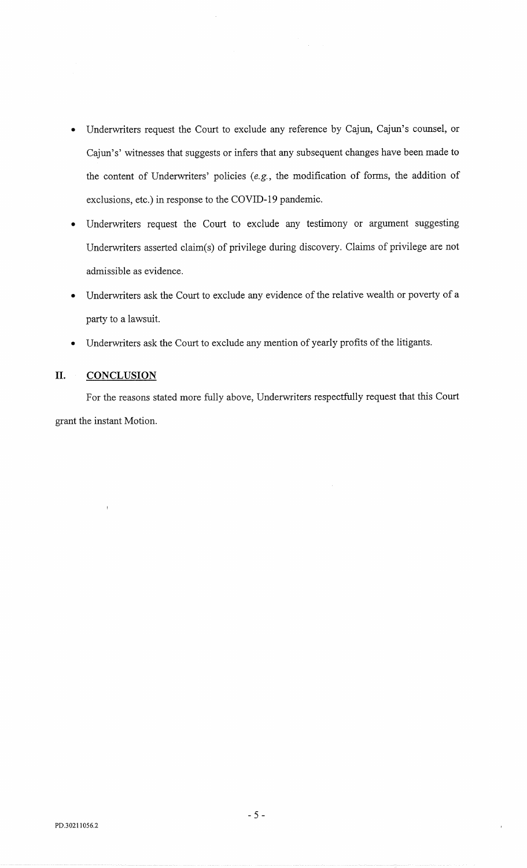- Underwriters request the Court to exclude any reference by Cajun, Cajun's counsel, or Cajun's' witnesses that suggests or infers that any subsequent changes have been made to the content of Underwriters' policies (e.g., the modification of forms, the addition of exclusions, etc.) in response to the COVID-19 pandemic.
- Underwriters request the Court to exclude any testimony or argument suggesting Underwriters asserted claim(s) of privilege during discovery. Claims of privilege are not admissible as evidence.
- Underwriters ask the Court to exclude any evidence of the relative wealth or poverty of a party to a lawsuit.
- Underwriters ask the Court to exclude any mention of yearly profits of the litigants.

# II. CONCLUSION

For the reasons stated more fully above, Underwriters respectfully request that this Court grant the instant Motion.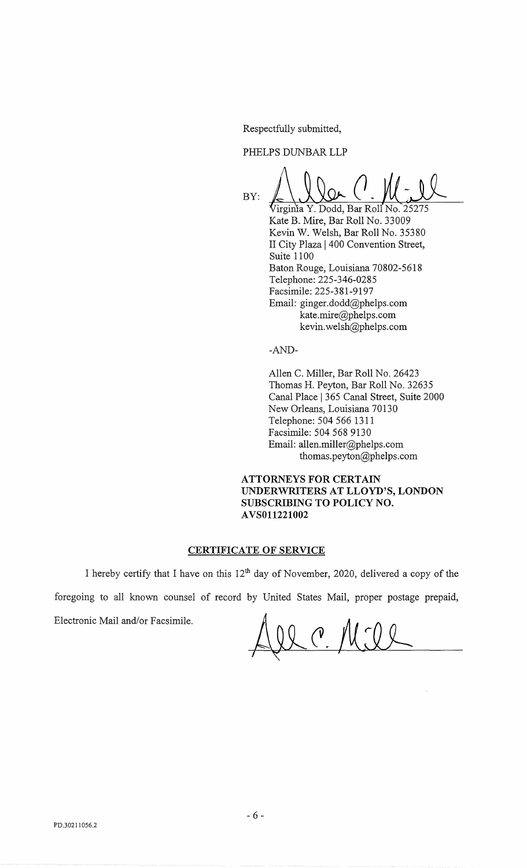Respectfully submitted,

PHELPS DUNBAR LLP

BY: 'Virginia Y. Dodd, Bar Roll No. 25275

Kate B. Mire, Bar Roll No. 33009 Kevin W. Welsh, Bar Roll No. 35380 II City Plaza 1400 Convention Street, Suite 1100 Baton Rouge, Louisiana 70802-5618 Telephone: 225-346-0285 Facsimile: 225-381-9197 Email: ginger.dodd@phelps.com kate.mire@phelps.com kevin.welsh@phelps.com

-AND-

Allen C. Miller, Bar Roll No. 26423 Thomas H. Peyton, Bar Roll No. 32635 Canal Place | 365 Canal Street, Suite 2000 New Orleans, Louisiana 70130 Telephone: 504 566 1311 Facsimile: 504 568 9130 Email: allen.miller@phelps.com thomas.peyton@phelps.com

ATTORNEYS FOR CERTAIN UNDERWRITERS AT LLOYD'S, LONDON SUBSCRIBING TO POLICY NO. AVS011221002

## CERTIFICATE OF SERVICE

I hereby certify that I have on this 12<sup>th</sup> day of November, 2020, delivered a copy of the foregoing to all known counsel of record by United States Mail, proper postage prepaid,

Electronic Mail and/or Facsimile.

 $\mathcal{L}$  C,  $\mathcal{M}$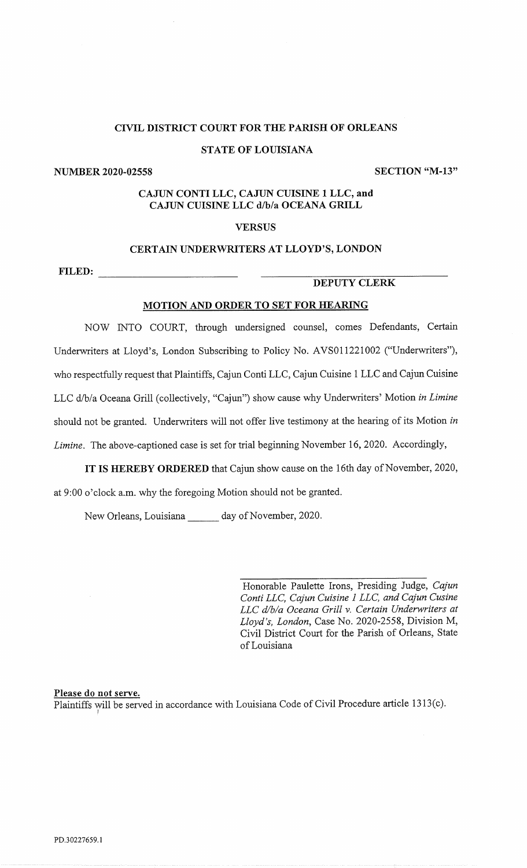## STATE OF LOUISIANA

NUMBER 2020-02558 SECTION "M-13"

# CAJUN CONTI LLC, CAJUN CUISINE 1 LLC, and CAJUN CUISINE LLC d/b/a OCEANA GRILL

# **VERSUS**

## CERTAIN UNDERWRITERS AT LLOYD'S, LONDON

FILED:

## DEPUTY CLERK

# MOTION AND ORDER TO SET FOR HEARING

NOW INTO COURT, through undersigned counsel, comes Defendants, Certain Underwriters at Lloyd's, London Subscribing to Policy No. AVS011221002 ("Underwriters"), who respectfully request that Plaintiffs, Cajun Conti LLC, Cajun Cuisine 1 LLC and Cajun Cuisine LLC d/b/a Oceana Grill (collectively, "Cajun") show cause why Underwriters' Motion in Limine should not be granted. Underwriters will not offer live testimony at the hearing of its Motion in Limine. The above-captioned case is set for trial beginning November 16, 2020. Accordingly,

IT IS HEREBY ORDERED that Cajun show cause on the 16th day of November, 2020, at 9:00 o'clock a.m. why the foregoing Motion should not be granted.

New Orleans, Louisiana day of November, 2020.

Honorable Paulette Irons, Presiding Judge, Cajun Conti LLC, Cajun Cuisine 1 LLC, and Cajun Cusine LLC d/b/a Oceana Grill v. Certain Underwriters at Lloyd's, London, Case No. 2020-2558, Division M, Civil District Court for the Parish of Orleans, State of Louisiana

# Please do not serve.

Plaintiffs will be served in accordance with Louisiana Code of Civil Procedure article 1313(c).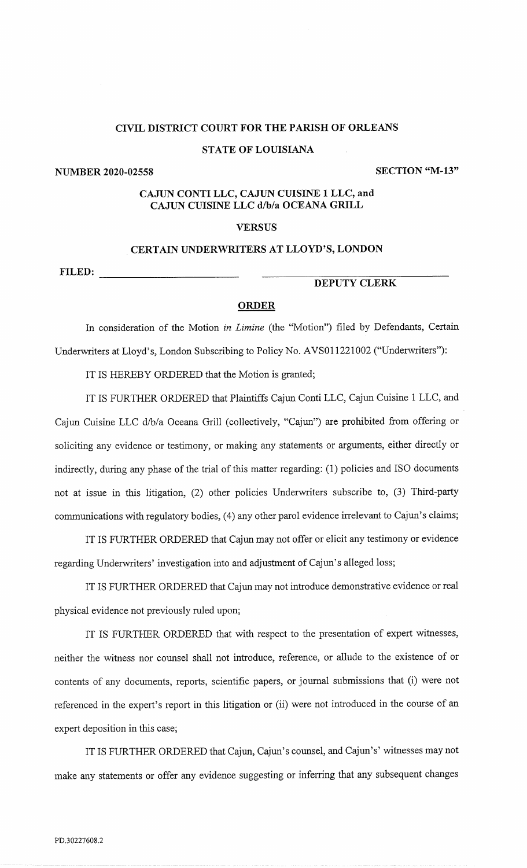## STATE OF LOUISIANA

NUMBER 2020-02558 SECTION "M-13"

# CAJUN CONTI LLC, CAJUN CUISINE 1 LLC, and CAJUN CUISINE LLC d/b/a OCEANA GRILL

## **VERSUS**

### CERTAIN UNDERWRITERS AT LLOYD'S, LONDON

FILED:

# DEPUTY CLERK

## **ORDER**

In consideration of the Motion in Limine (the "Motion") filed by Defendants, Certain Underwriters at Lloyd's, London Subscribing to Policy No. AVS011221002 ("Underwriters"):

IT IS HEREBY ORDERED that the Motion is granted;

IT IS FURTHER ORDERED that Plaintiffs Cajun Conti LLC, Cajun Cuisine 1 LLC, and Cajun Cuisine LLC d/b/a Oceana Grill (collectively, "Cajun") are prohibited from offering or soliciting any evidence or testimony, or making any statements or arguments, either directly or indirectly, during any phase of the trial of this matter regarding: (1) policies and ISO documents not at issue in this litigation, (2) other policies Underwriters subscribe to, (3) Third-party communications with regulatory bodies, (4) any other parol evidence irrelevant to Cajun's claims;

IT IS FURTHER ORDERED that Cajun may not offer or elicit any testimony or evidence regarding Underwriters' investigation into and adjustment of Cajun's alleged loss;

IT IS FURTHER ORDERED that Cajun may not introduce demonstrative evidence or real physical evidence not previously ruled upon;

IT IS FURTHER ORDERED that with respect to the presentation of expert witnesses, neither the witness nor counsel shall not introduce, reference, or allude to the existence of or contents of any documents, reports, scientific papers, or journal submissions that (i) were not referenced in the expert's report in this litigation or (ii) were not introduced in the course of an expert deposition in this case;

IT IS FURTHER ORDERED that Cajun, Cajun's counsel, and Cajun's' witnesses may not make any statements or offer any evidence suggesting or inferring that any subsequent changes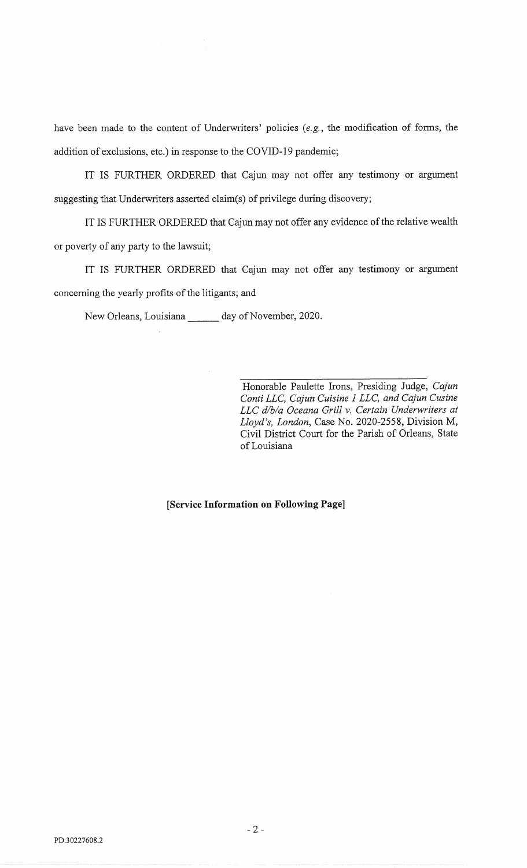have been made to the content of Underwriters' policies (e.g., the modification of forms, the addition of exclusions, etc.) in response to the COVID-19 pandemic;

IT IS FURTHER ORDERED that Cajun may not offer any testimony or argument suggesting that Underwriters asserted claim(s) of privilege during discovery;

IT IS FURTHER ORDERED that Cajun may not offer any evidence of the relative wealth or poverty of any party to the lawsuit;

IT IS FURTHER ORDERED that Cajun may not offer any testimony or argument concerning the yearly profits of the litigants; and

New Orleans, Louisiana \_\_\_\_\_\_ day of November, 2020.

Honorable Paulette Irons, Presiding Judge, Cajun Conti LLC, Cajun Cuisine 1 LLC, and Cajun Cusine LLC d/b/a Oceana Grill v. Certain Underwriters at Lloyd's, London, Case No. 2020-2558, Division M, Civil District Court for the Parish of Orleans, State of Louisiana

[Service Information on Following Page]

 $-2-$